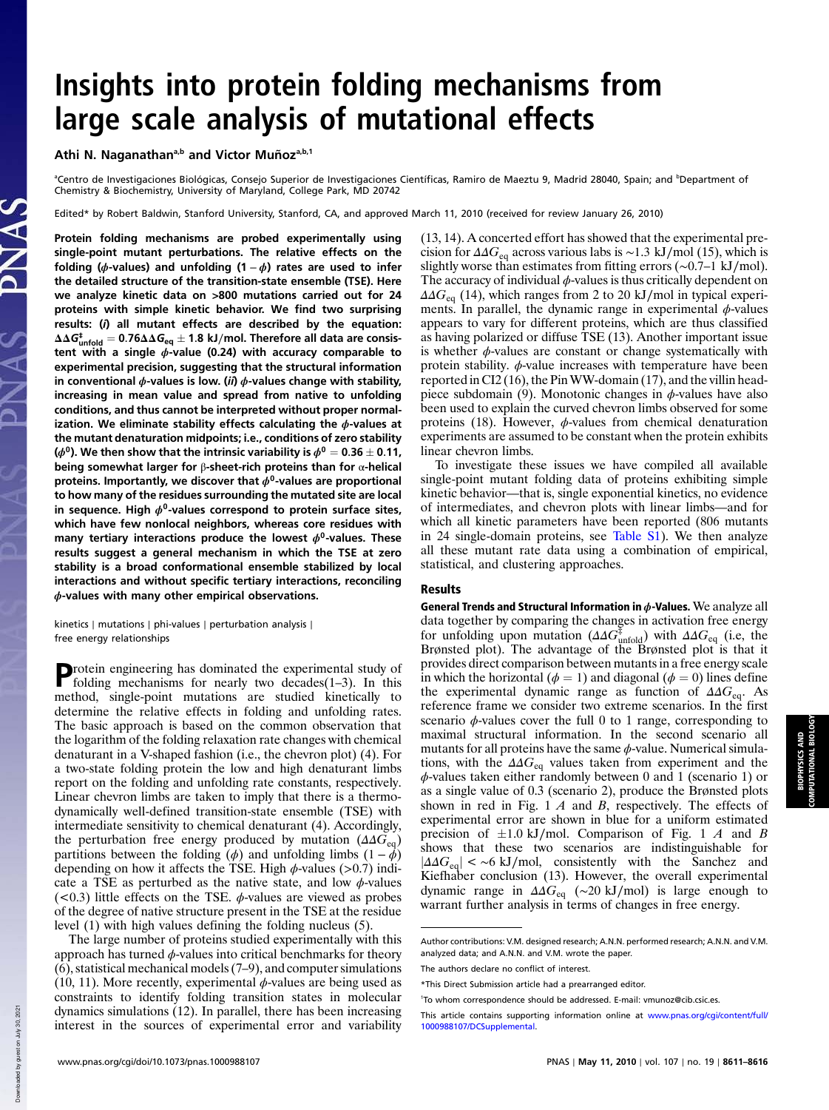## Insights into protein folding mechanisms from large scale analysis of mutational effects

Athi N. Naganathan<sup>a,b</sup> and Victor Muñoz<sup>a,b,1</sup>

<sup>a</sup>Centro de Investigaciones Biológicas, Consejo Superior de Investigaciones Científicas, Ramiro de Maeztu 9, Madrid 28040, Spain; and <sup>b</sup>Department of Chemistry & Biochemistry, University of Maryland, College Park, MD 20742

Edited\* by Robert Baldwin, Stanford University, Stanford, CA, and approved March 11, 2010 (received for review January 26, 2010)

Protein folding mechanisms are probed experimentally using single-point mutant perturbations. The relative effects on the folding ( $\phi$ -values) and unfolding (1 –  $\phi$ ) rates are used to infer the detailed structure of the transition-state ensemble (TSE). Here we analyze kinetic data on >800 mutations carried out for 24 proteins with simple kinetic behavior. We find two surprising results: (i) all mutant effects are described by the equation:  $\Delta\Delta{\bm G}_{\sf{unfold}}^\ddag = {\bm 0.76} \Delta\Delta{\bm G}_{\sf eq}\pm {\bm 1.8\;\textbf{kJ/mol}}$  . Therefore all data are consistent with a single  $\phi$ -value (0.24) with accuracy comparable to experimental precision, suggesting that the structural information in conventional  $\phi$ -values is low. (ii)  $\phi$ -values change with stability, increasing in mean value and spread from native to unfolding conditions, and thus cannot be interpreted without proper normalization. We eliminate stability effects calculating the  $\phi$ -values at the mutant denaturation midpoints; i.e., conditions of zero stability ( $\phi^0$ ). We then show that the intrinsic variability is  $\phi^0=$  0.36  $\pm$  0.11, being somewhat larger for β-sheet-rich proteins than for α-helical proteins. Importantly, we discover that  $\phi^0$ -values are proportional to how many of the residues surrounding the mutated site are local in sequence. High  $\phi^0$ -values correspond to protein surface sites, which have few nonlocal neighbors, whereas core residues with many tertiary interactions produce the lowest  $\phi^0$ -values. These results suggest a general mechanism in which the TSE at zero stability is a broad conformational ensemble stabilized by local interactions and without specific tertiary interactions, reconciling  $\phi$ -values with many other empirical observations.

kinetics ∣ mutations ∣ phi-values ∣ perturbation analysis ∣ free energy relationships

**Protein engineering has dominated the experimental study of folding mechanisms for nearly two decades**(1–3). In this folding mechanisms for nearly two decades(1–3). In this method, single-point mutations are studied kinetically to determine the relative effects in folding and unfolding rates. The basic approach is based on the common observation that the logarithm of the folding relaxation rate changes with chemical denaturant in a V-shaped fashion (i.e., the chevron plot) (4). For a two-state folding protein the low and high denaturant limbs report on the folding and unfolding rate constants, respectively. Linear chevron limbs are taken to imply that there is a thermodynamically well-defined transition-state ensemble (TSE) with intermediate sensitivity to chemical denaturant (4). Accordingly, the perturbation free energy produced by mutation  $(\Delta \Delta G_{\text{eq}})$ partitions between the folding ( $\phi$ ) and unfolding limbs  $(1 - \dot{\phi})$ depending on how it affects the TSE. High  $\phi$ -values (>0.7) indicate a TSE as perturbed as the native state, and low  $\phi$ -values ( $0.3$ ) little effects on the TSE.  $\phi$ -values are viewed as probes of the degree of native structure present in the TSE at the residue level (1) with high values defining the folding nucleus (5).

The large number of proteins studied experimentally with this approach has turned  $\phi$ -values into critical benchmarks for theory (6), statistical mechanical models (7–9), and computer simulations (10, 11). More recently, experimental  $\phi$ -values are being used as constraints to identify folding transition states in molecular dynamics simulations (12). In parallel, there has been increasing interest in the sources of experimental error and variability

(13, 14). A concerted effort has showed that the experimental precision for  $\Delta\Delta G_{\text{eq}}$  across various labs is ~1.3 kJ/mol (15), which is slightly worse than estimates from fitting errors (∼0.7–1 kJ∕mol). The accuracy of individual  $\phi$ -values is thus critically dependent on  $\Delta\Delta G_{\text{eq}}$  (14), which ranges from 2 to 20 kJ/mol in typical experiments. In parallel, the dynamic range in experimental  $\phi$ -values appears to vary for different proteins, which are thus classified as having polarized or diffuse TSE (13). Another important issue is whether  $\phi$ -values are constant or change systematically with protein stability.  $\phi$ -value increases with temperature have been reported in CI2 (16), the PinWW-domain (17), and the villin headpiece subdomain (9). Monotonic changes in  $\phi$ -values have also been used to explain the curved chevron limbs observed for some proteins (18). However,  $\phi$ -values from chemical denaturation experiments are assumed to be constant when the protein exhibits linear chevron limbs.

To investigate these issues we have compiled all available single-point mutant folding data of proteins exhibiting simple kinetic behavior—that is, single exponential kinetics, no evidence of intermediates, and chevron plots with linear limbs—and for which all kinetic parameters have been reported (806 mutants in 24 single-domain proteins, see Table S1). We then analyze all these mutant rate data using a combination of empirical, statistical, and clustering approaches.

## Results

General Trends and Structural Information in  $\phi$ -Values. We analyze all data together by comparing the changes in activation free energy for unfolding upon mutation  $(\Delta \Delta G_{\text{unfold}}^{\ddagger})$  with  $\Delta \Delta G_{\text{eq}}$  (i.e, the Brønsted plot). The advantage of the Brønsted plot is that it provides direct comparison between mutants in a free energy scale in which the horizontal ( $\phi = 1$ ) and diagonal ( $\phi = 0$ ) lines define the experimental dynamic range as function of  $\Delta \Delta G_{\text{eq}}$ . As reference frame we consider two extreme scenarios. In the first scenario  $\phi$ -values cover the full 0 to 1 range, corresponding to maximal structural information. In the second scenario all mutants for all proteins have the same  $\phi$ -value. Numerical simulations, with the  $\Delta\Delta G_{\text{eq}}$  values taken from experiment and the ϕ-values taken either randomly between 0 and 1 (scenario 1) or as a single value of 0.3 (scenario 2), produce the Brønsted plots shown in red in Fig. 1 A and B, respectively. The effects of experimental error are shown in blue for a uniform estimated precision of  $\pm 1.0$  kJ/mol. Comparison of Fig. 1 A and B shows that these two scenarios are indistinguishable for  $|\Delta\Delta G_{\text{eq}}| < \sim 6 \text{ kJ/mol}$ , consistently with the Sanchez and Kiefhaber conclusion (13). However, the overall experimental dynamic range in  $\Delta \Delta G_{\text{eq}}$  (~20 kJ/mol) is large enough to warrant further analysis in terms of changes in free energy.

Downloaded by guest on July 30, 2021

**Down** 

loaded by guest on July 30, 2021

Author contributions: V.M. designed research; A.N.N. performed research; A.N.N. and V.M. analyzed data; and A.N.N. and V.M. wrote the paper.

The authors declare no conflict of interest

<sup>\*</sup>This Direct Submission article had a prearranged editor.

<sup>&</sup>lt;sup>1</sup>To whom correspondence should be addressed. E-mail: vmunoz@cib.csic.es.

This article contains supporting information online at www.pnas.org/cgi/content/full/ 1000988107/DCSupplemental.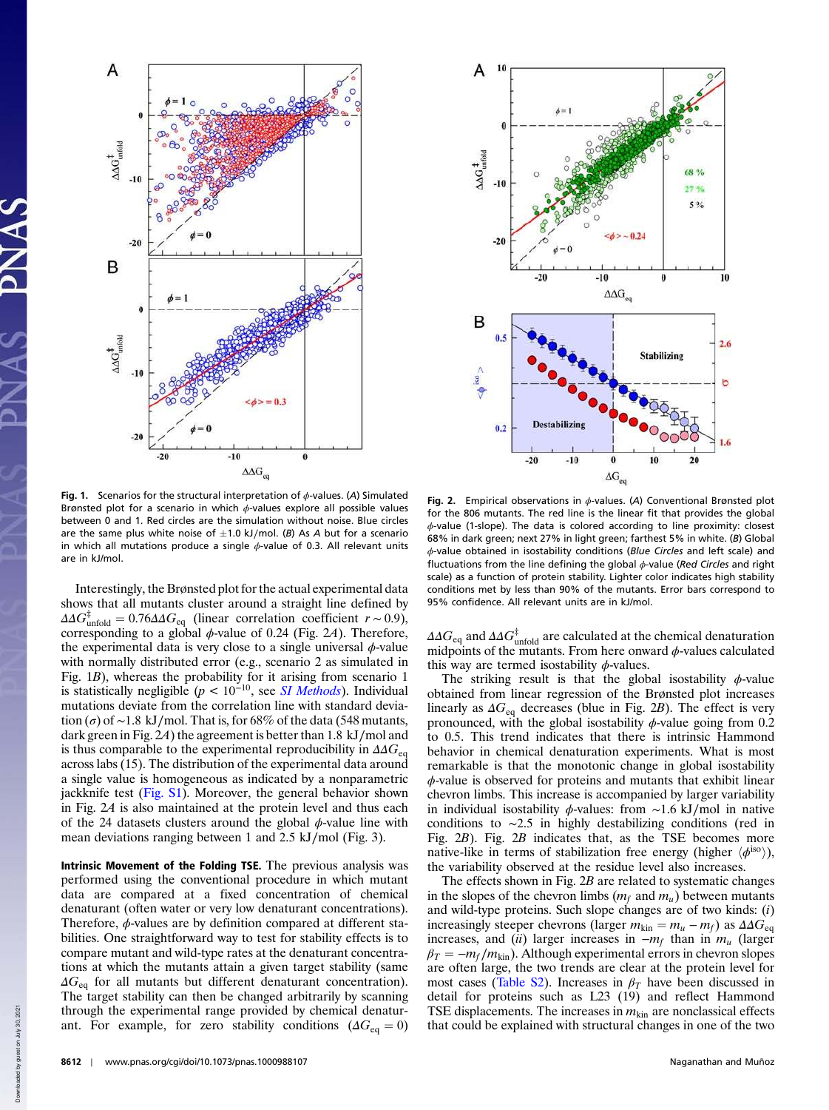



Fig. 1. Scenarios for the structural interpretation of  $\phi$ -values. (A) Simulated Brønsted plot for a scenario in which  $\phi$ -values explore all possible values between 0 and 1. Red circles are the simulation without noise. Blue circles are the same plus white noise of  $\pm$ 1.0 kJ/mol. (B) As A but for a scenario in which all mutations produce a single  $\phi$ -value of 0.3. All relevant units are in kJ/mol.

Interestingly, the Brønsted plot for the actual experimental data shows that all mutants cluster around a straight line defined by  $\Delta \Delta G_{\text{unfold}}^{\ddagger} = 0.76 \Delta \Delta G_{\text{eq}}$  (linear correlation coefficient  $r \sim 0.9$ ), corresponding to a global  $\phi$ -value of 0.24 (Fig. 2A). Therefore, the experimental data is very close to a single universal  $\phi$ -value with normally distributed error (e.g., scenario 2 as simulated in Fig. 1B), whereas the probability for it arising from scenario 1 is statistically negligible  $(p < 10^{-10})$ , see *SI Methods*). Individual mutations deviate from the correlation line with standard deviation ( $\sigma$ ) of ~1.8 kJ/mol. That is, for 68% of the data (548 mutants, dark green in Fig. 2A) the agreement is better than 1.8 kJ∕mol and is thus comparable to the experimental reproducibility in  $\Delta \Delta G_{\text{eq}}$ across labs (15). The distribution of the experimental data around a single value is homogeneous as indicated by a nonparametric jackknife test (Fig. S1). Moreover, the general behavior shown in Fig. 2A is also maintained at the protein level and thus each of the 24 datasets clusters around the global  $\phi$ -value line with mean deviations ranging between 1 and 2.5 kJ∕mol (Fig. 3).

Intrinsic Movement of the Folding TSE. The previous analysis was performed using the conventional procedure in which mutant data are compared at a fixed concentration of chemical denaturant (often water or very low denaturant concentrations). Therefore,  $\phi$ -values are by definition compared at different stabilities. One straightforward way to test for stability effects is to compare mutant and wild-type rates at the denaturant concentrations at which the mutants attain a given target stability (same  $\Delta G_{\text{eq}}$  for all mutants but different denaturant concentration). The target stability can then be changed arbitrarily by scanning through the experimental range provided by chemical denaturant. For example, for zero stability conditions ( $\Delta G_{eq} = 0$ )

Fig. 2. Empirical observations in  $\phi$ -values. (A) Conventional Brønsted plot for the 806 mutants. The red line is the linear fit that provides the global  $\phi$ -value (1-slope). The data is colored according to line proximity: closest 68% in dark green; next 27% in light green; farthest 5% in white. (B) Global ϕ-value obtained in isostability conditions (Blue Circles and left scale) and fluctuations from the line defining the global  $\phi$ -value (Red Circles and right scale) as a function of protein stability. Lighter color indicates high stability conditions met by less than 90% of the mutants. Error bars correspond to 95% confidence. All relevant units are in kJ/mol.

 $\Delta \Delta G_{\rm eq}$  and  $\Delta \Delta G_{\rm unfold}^{\ddagger}$  are calculated at the chemical denaturation midpoints of the mutants. From here onward  $\phi$ -values calculated this way are termed isostability  $\phi$ -values.

The striking result is that the global isostability  $\phi$ -value obtained from linear regression of the Brønsted plot increases linearly as  $\Delta G_{eq}$  decreases (blue in Fig. 2B). The effect is very pronounced, with the global isostability  $\phi$ -value going from 0.2 to 0.5. This trend indicates that there is intrinsic Hammond behavior in chemical denaturation experiments. What is most remarkable is that the monotonic change in global isostability  $\phi$ -value is observed for proteins and mutants that exhibit linear chevron limbs. This increase is accompanied by larger variability in individual isostability ϕ-values: from ∼1.6 kJ∕mol in native conditions to ∼2.5 in highly destabilizing conditions (red in Fig. 2B). Fig. 2B indicates that, as the TSE becomes more native-like in terms of stabilization free energy (higher  $\langle \phi^{\rm iso} \rangle$ ), the variability observed at the residue level also increases.

The effects shown in Fig.  $2B$  are related to systematic changes in the slopes of the chevron limbs  $(m_f \text{ and } m_u)$  between mutants and wild-type proteins. Such slope changes are of two kinds: (i) increasingly steeper chevrons (larger  $m_{\text{kin}} = m_u - m_f$ ) as  $\Delta \Delta G_{\text{eq}}$ increases, and (ii) larger increases in  $-m_f$  than in  $m_u$  (larger  $\beta_T = -m_f/m_{\text{kin}}$ ). Although experimental errors in chevron slopes are often large, the two trends are clear at the protein level for most cases (Table S2). Increases in  $\beta_T$  have been discussed in detail for proteins such as L23 (19) and reflect Hammond TSE displacements. The increases in  $m_{\text{kin}}$  are nonclassical effects that could be explained with structural changes in one of the two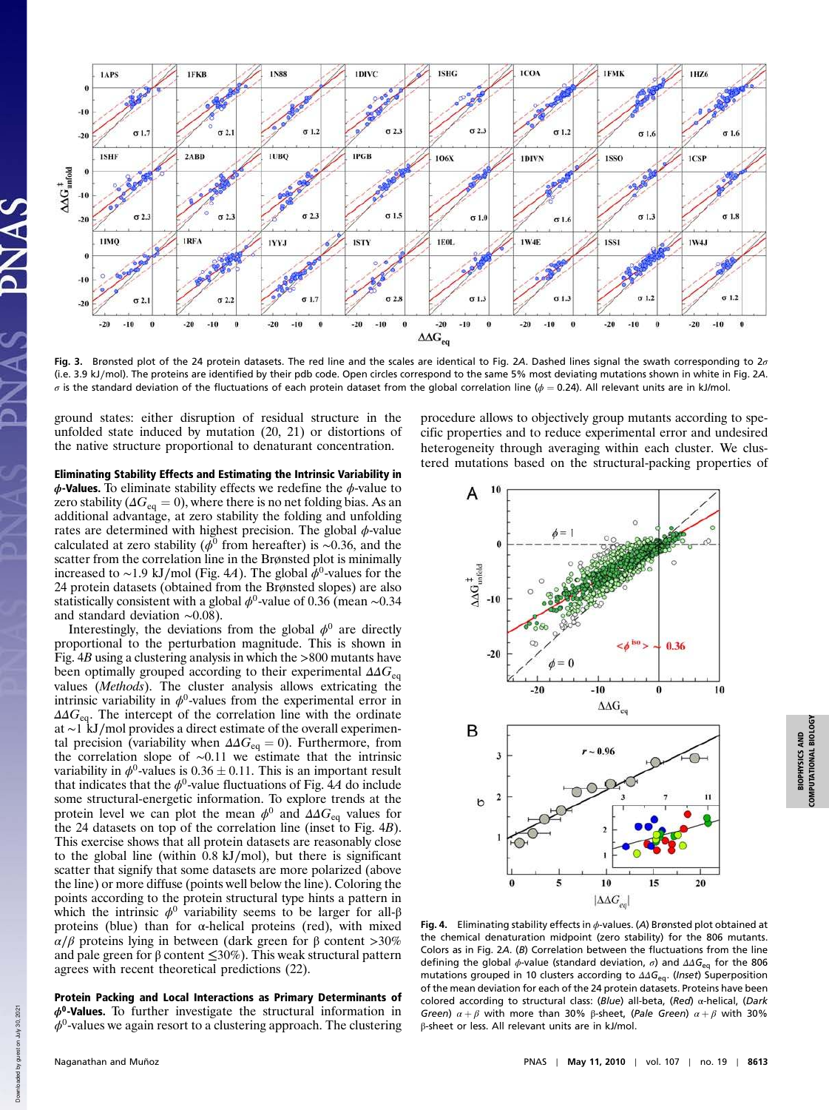

Fig. 3. Brønsted plot of the 24 protein datasets. The red line and the scales are identical to Fig. 2A. Dashed lines signal the swath corresponding to  $2\sigma$ (i.e. 3.9 kJ∕mol). The proteins are identified by their pdb code. Open circles correspond to the same 5% most deviating mutations shown in white in Fig. 2A. σ is the standard deviation of the fluctuations of each protein dataset from the global correlation line ( $φ = 0.24$ ). All relevant units are in kJ/mol.

ground states: either disruption of residual structure in the unfolded state induced by mutation (20, 21) or distortions of the native structure proportional to denaturant concentration.

Eliminating Stability Effects and Estimating the Intrinsic Variability in  $\phi$ -Values. To eliminate stability effects we redefine the  $\phi$ -value to zero stability ( $\Delta G_{\text{eq}} = 0$ ), where there is no net folding bias. As an additional advantage, at zero stability the folding and unfolding rates are determined with highest precision. The global  $\phi$ -value calculated at zero stability ( $\phi^0$  from hereafter) is ~0.36, and the scatter from the correlation line in the Brønsted plot is minimally increased to ~1.9 kJ/mol (Fig. 4A). The global  $\dot{\phi}^0$ -values for the 24 protein datasets (obtained from the Brønsted slopes) are also statistically consistent with a global  $\phi^0$ -value of 0.36 (mean ~0.34 and standard deviation ∼0.08).

Interestingly, the deviations from the global  $\phi^0$  are directly proportional to the perturbation magnitude. This is shown in Fig. 4B using a clustering analysis in which the >800 mutants have been optimally grouped according to their experimental  $\Delta \Delta G_{\text{eq}}$ values (Methods). The cluster analysis allows extricating the intrinsic variability in  $\phi^0$ -values from the experimental error in  $\Delta\Delta G_{\text{eq}}$ . The intercept of the correlation line with the ordinate at ∼1 kJ∕mol provides a direct estimate of the overall experimental precision (variability when  $\Delta \Delta G_{\text{eq}} = 0$ ). Furthermore, from the correlation slope of ∼0.11 we estimate that the intrinsic variability in  $\phi^0$ -values is  $0.36 \pm 0.11$ . This is an important result that indicates that the  $\phi^0$ -value fluctuations of Fig. 4A do include some structural-energetic information. To explore trends at the protein level we can plot the mean  $\phi^0$  and  $\Delta \Delta G_{\text{eq}}$  values for the 24 datasets on top of the correlation line (inset to Fig. 4B). This exercise shows that all protein datasets are reasonably close to the global line (within 0.8 kJ∕mol), but there is significant scatter that signify that some datasets are more polarized (above the line) or more diffuse (points well below the line). Coloring the points according to the protein structural type hints a pattern in which the intrinsic  $\phi^0$  variability seems to be larger for all- $\beta$ proteins (blue) than for α-helical proteins (red), with mixed α∕β proteins lying in between (dark green for β content >30% and pale green for  $\beta$  content  $\leq 30\%$ ). This weak structural pattern agrees with recent theoretical predictions (22).

Protein Packing and Local Interactions as Primary Determinants of  $\phi^0$ -Values. To further investigate the structural information in  $\phi^0$ -values we again resort to a clustering approach. The clustering

procedure allows to objectively group mutants according to specific properties and to reduce experimental error and undesired heterogeneity through averaging within each cluster. We clustered mutations based on the structural-packing properties of



COMPUTATIONAL BIOLOGY

Fig. 4. Eliminating stability effects in  $\phi$ -values. (A) Brønsted plot obtained at the chemical denaturation midpoint (zero stability) for the 806 mutants. Colors as in Fig. 2A. (B) Correlation between the fluctuations from the line defining the global  $\phi$ -value (standard deviation,  $\sigma$ ) and  $\Delta\Delta G_{\text{eq}}$  for the 806 mutations grouped in 10 clusters according to  $\Delta\Delta G_{\text{eq}}$ . (Inset) Superposition of the mean deviation for each of the 24 protein datasets. Proteins have been colored according to structural class: (Blue) all-beta, (Red) α-helical, (Dark Green)  $\alpha + \beta$  with more than 30% β-sheet, (Pale Green)  $\alpha + \beta$  with 30% β-sheet or less. All relevant units are in kJ/mol.

Downloaded by guest on July 30, 2021

Downloaded by guest on

July 30, 2021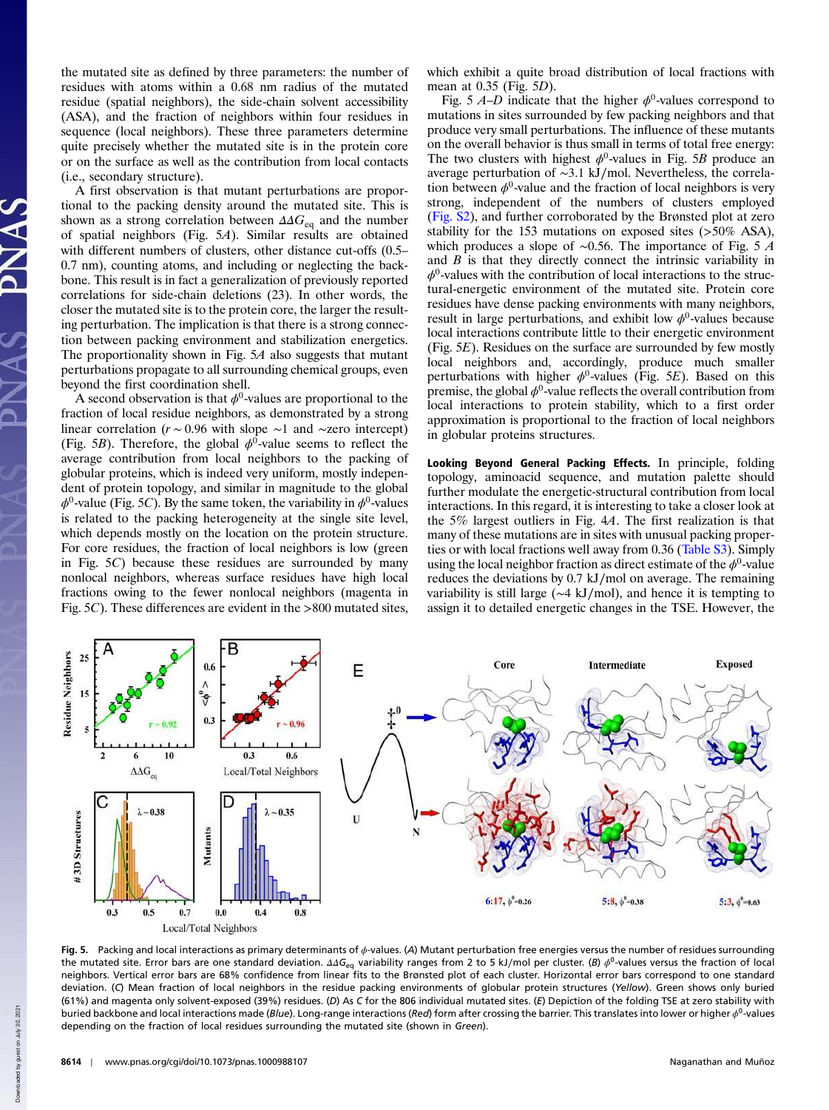the mutated site as defined by three parameters: the number of residues with atoms within a 0.68 nm radius of the mutated residue (spatial neighbors), the side-chain solvent accessibility (ASA), and the fraction of neighbors within four residues in sequence (local neighbors). These three parameters determine quite precisely whether the mutated site is in the protein core or on the surface as well as the contribution from local contacts (i.e., secondary structure).

A first observation is that mutant perturbations are proportional to the packing density around the mutated site. This is shown as a strong correlation between  $\Delta \Delta G_{eq}$  and the number of spatial neighbors (Fig. 5A). Similar results are obtained with different numbers of clusters, other distance cut-offs (0.5– 0.7 nm), counting atoms, and including or neglecting the backbone. This result is in fact a generalization of previously reported correlations for side-chain deletions (23). In other words, the closer the mutated site is to the protein core, the larger the resulting perturbation. The implication is that there is a strong connection between packing environment and stabilization energetics. The proportionality shown in Fig. 5A also suggests that mutant perturbations propagate to all surrounding chemical groups, even beyond the first coordination shell.

A second observation is that  $\phi^0$ -values are proportional to the fraction of local residue neighbors, as demonstrated by a strong linear correlation (r ∼ 0.96 with slope ∼1 and ∼zero intercept) (Fig. 5B). Therefore, the global  $\phi^0$ -value seems to reflect the average contribution from local neighbors to the packing of globular proteins, which is indeed very uniform, mostly independent of protein topology, and similar in magnitude to the global  $\phi^0$ -value (Fig. 5C). By the same token, the variability in  $\phi^0$ -values is related to the packing heterogeneity at the single site level, which depends mostly on the location on the protein structure. For core residues, the fraction of local neighbors is low (green in Fig. 5C) because these residues are surrounded by many nonlocal neighbors, whereas surface residues have high local fractions owing to the fewer nonlocal neighbors (magenta in Fig. 5C). These differences are evident in the >800 mutated sites,

which exhibit a quite broad distribution of local fractions with mean at 0.35 (Fig. 5D).

Fig. 5  $A-D$  indicate that the higher  $\phi^0$ -values correspond to mutations in sites surrounded by few packing neighbors and that produce very small perturbations. The influence of these mutants on the overall behavior is thus small in terms of total free energy: The two clusters with highest  $\phi^0$ -values in Fig. 5B produce an average perturbation of ∼3.1 kJ∕mol. Nevertheless, the correlation between  $\phi^0$ -value and the fraction of local neighbors is very strong, independent of the numbers of clusters employed (Fig. S2), and further corroborated by the Brønsted plot at zero stability for the 153 mutations on exposed sites (>50% ASA), which produces a slope of ∼0.56. The importance of Fig. 5 A and  $B$  is that they directly connect the intrinsic variability in  $\phi^0$ -values with the contribution of local interactions to the structural-energetic environment of the mutated site. Protein core residues have dense packing environments with many neighbors, result in large perturbations, and exhibit low  $\phi^0$ -values because local interactions contribute little to their energetic environment (Fig. 5E). Residues on the surface are surrounded by few mostly local neighbors and, accordingly, produce much smaller perturbations with higher  $\phi^0$ -values (Fig. 5E). Based on this premise, the global  $\phi^0$ -value reflects the overall contribution from local interactions to protein stability, which to a first order approximation is proportional to the fraction of local neighbors in globular proteins structures.

Looking Beyond General Packing Effects. In principle, folding topology, aminoacid sequence, and mutation palette should further modulate the energetic-structural contribution from local interactions. In this regard, it is interesting to take a closer look at the 5% largest outliers in Fig. 4A. The first realization is that many of these mutations are in sites with unusual packing properties or with local fractions well away from 0.36 (Table S3). Simply using the local neighbor fraction as direct estimate of the  $\phi^0$ -value reduces the deviations by 0.7 kJ∕mol on average. The remaining variability is still large (∼4 kJ∕mol), and hence it is tempting to assign it to detailed energetic changes in the TSE. However, the



Fig. 5. Packing and local interactions as primary determinants of  $\phi$ -values. (A) Mutant perturbation free energies versus the number of residues surrounding the mutated site. Error bars are one standard deviation. ΔΔG<sub>eq</sub> variability ranges from 2 to 5 kJ/mol per cluster. (B)  $\phi^0$ -values versus the fraction of local neighbors. Vertical error bars are 68% confidence from linear fits to the Brønsted plot of each cluster. Horizontal error bars correspond to one standard deviation. (C) Mean fraction of local neighbors in the residue packing environments of globular protein structures (Yellow). Green shows only buried (61%) and magenta only solvent-exposed (39%) residues. (D) As C for the 806 individual mutated sites. (E) Depiction of the folding TSE at zero stability with buried backbone and local interactions made (Blue). Long-range interactions (Red) form after crossing the barrier. This translates into lower or higher  $\phi^0$ -values depending on the fraction of local residues surrounding the mutated site (shown in Green).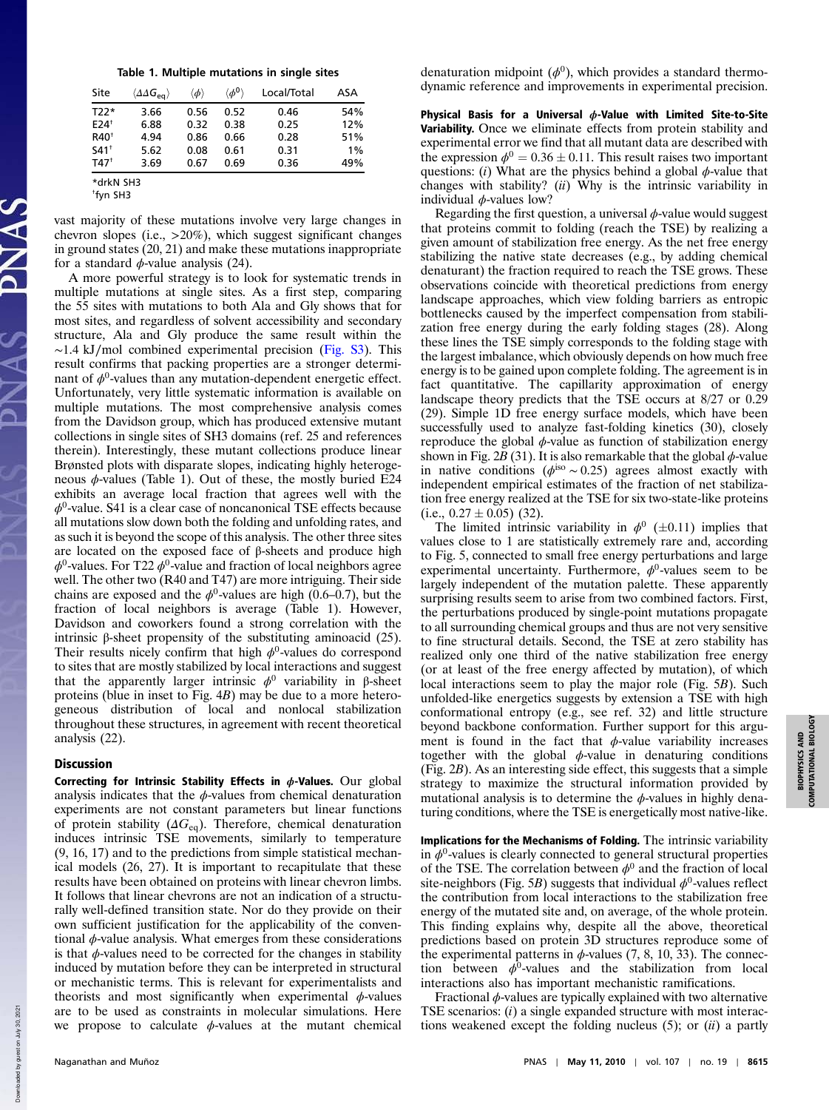|  | Table 1. Multiple mutations in single sites |  |  |
|--|---------------------------------------------|--|--|
|  |                                             |  |  |

| Site               | $\langle \Delta\Delta G_{\text{eq}} \rangle$ | $\langle \phi \rangle$ | $\langle \phi^0 \rangle$ | Local/Total | ASA |  |  |
|--------------------|----------------------------------------------|------------------------|--------------------------|-------------|-----|--|--|
| T22*               | 3.66                                         | 0.56                   | 0.52                     | 0.46        | 54% |  |  |
| $E24$ <sup>+</sup> | 6.88                                         | 0.32                   | 0.38                     | 0.25        | 12% |  |  |
| $R40^+$            | 4.94                                         | 0.86                   | 0.66                     | 0.28        | 51% |  |  |
| $541^+$            | 5.62                                         | 0.08                   | 0.61                     | 0.31        | 1%  |  |  |
| $T47^{\dagger}$    | 3.69                                         | 0.67                   | 0.69                     | 0.36        | 49% |  |  |
| *drkN SH3          |                                              |                        |                          |             |     |  |  |

<sup>†</sup> fyn SH3

vast majority of these mutations involve very large changes in chevron slopes (i.e., >20%), which suggest significant changes in ground states (20, 21) and make these mutations inappropriate for a standard  $\phi$ -value analysis (24).

A more powerful strategy is to look for systematic trends in multiple mutations at single sites. As a first step, comparing the 55 sites with mutations to both Ala and Gly shows that for most sites, and regardless of solvent accessibility and secondary structure, Ala and Gly produce the same result within the ∼1.4 kJ∕mol combined experimental precision (Fig. S3). This result confirms that packing properties are a stronger determinant of  $\phi^0$ -values than any mutation-dependent energetic effect. Unfortunately, very little systematic information is available on multiple mutations. The most comprehensive analysis comes from the Davidson group, which has produced extensive mutant collections in single sites of SH3 domains (ref. 25 and references therein). Interestingly, these mutant collections produce linear Brønsted plots with disparate slopes, indicating highly heterogeneous  $\phi$ -values (Table 1). Out of these, the mostly buried E24 exhibits an average local fraction that agrees well with the  $\phi^0$ -value. S41 is a clear case of noncanonical TSE effects because all mutations slow down both the folding and unfolding rates, and as such it is beyond the scope of this analysis. The other three sites are located on the exposed face of β-sheets and produce high  $\phi^0$ -values. For T22  $\phi^0$ -value and fraction of local neighbors agree well. The other two (R40 and T47) are more intriguing. Their side chains are exposed and the  $\phi^0$ -values are high (0.6–0.7), but the fraction of local neighbors is average (Table 1). However, Davidson and coworkers found a strong correlation with the intrinsic β-sheet propensity of the substituting aminoacid (25). Their results nicely confirm that high  $\phi^0$ -values do correspond to sites that are mostly stabilized by local interactions and suggest that the apparently larger intrinsic  $\phi^0$  variability in β-sheet proteins (blue in inset to Fig. 4B) may be due to a more heterogeneous distribution of local and nonlocal stabilization throughout these structures, in agreement with recent theoretical analysis (22).

## Discussion

Correcting for Intrinsic Stability Effects in  $\phi$ -Values. Our global analysis indicates that the  $\phi$ -values from chemical denaturation experiments are not constant parameters but linear functions of protein stability ( $\Delta G_{eq}$ ). Therefore, chemical denaturation induces intrinsic TSE movements, similarly to temperature (9, 16, 17) and to the predictions from simple statistical mechanical models (26, 27). It is important to recapitulate that these results have been obtained on proteins with linear chevron limbs. It follows that linear chevrons are not an indication of a structurally well-defined transition state. Nor do they provide on their own sufficient justification for the applicability of the conventional  $\phi$ -value analysis. What emerges from these considerations is that  $\phi$ -values need to be corrected for the changes in stability induced by mutation before they can be interpreted in structural or mechanistic terms. This is relevant for experimentalists and theorists and most significantly when experimental  $\phi$ -values are to be used as constraints in molecular simulations. Here we propose to calculate  $\phi$ -values at the mutant chemical

denaturation midpoint  $(\phi^0)$ , which provides a standard thermodynamic reference and improvements in experimental precision.

Physical Basis for a Universal  $\phi$ -Value with Limited Site-to-Site Variability. Once we eliminate effects from protein stability and experimental error we find that all mutant data are described with the expression  $\phi^0 = 0.36 \pm 0.11$ . This result raises two important questions: (i) What are the physics behind a global  $\phi$ -value that changes with stability?  $(ii)$  Why is the intrinsic variability in individual  $\phi$ -values low?

Regarding the first question, a universal  $\phi$ -value would suggest that proteins commit to folding (reach the TSE) by realizing a given amount of stabilization free energy. As the net free energy stabilizing the native state decreases (e.g., by adding chemical denaturant) the fraction required to reach the TSE grows. These observations coincide with theoretical predictions from energy landscape approaches, which view folding barriers as entropic bottlenecks caused by the imperfect compensation from stabilization free energy during the early folding stages (28). Along these lines the TSE simply corresponds to the folding stage with the largest imbalance, which obviously depends on how much free energy is to be gained upon complete folding. The agreement is in fact quantitative. The capillarity approximation of energy landscape theory predicts that the TSE occurs at 8/27 or 0.29 (29). Simple 1D free energy surface models, which have been successfully used to analyze fast-folding kinetics (30), closely reproduce the global  $\phi$ -value as function of stabilization energy shown in Fig. 2B (31). It is also remarkable that the global  $\phi$ -value in native conditions ( $\phi$ <sup>iso</sup> ~ 0.25) agrees almost exactly with independent empirical estimates of the fraction of net stabilization free energy realized at the TSE for six two-state-like proteins (i.e.,  $0.27 \pm 0.05$ ) (32).

The limited intrinsic variability in  $\phi^0$  ( $\pm$ 0.11) implies that values close to 1 are statistically extremely rare and, according to Fig. 5, connected to small free energy perturbations and large experimental uncertainty. Furthermore,  $\phi^0$ -values seem to be largely independent of the mutation palette. These apparently surprising results seem to arise from two combined factors. First, the perturbations produced by single-point mutations propagate to all surrounding chemical groups and thus are not very sensitive to fine structural details. Second, the TSE at zero stability has realized only one third of the native stabilization free energy (or at least of the free energy affected by mutation), of which local interactions seem to play the major role (Fig. 5B). Such unfolded-like energetics suggests by extension a TSE with high conformational entropy (e.g., see ref. 32) and little structure beyond backbone conformation. Further support for this argument is found in the fact that  $\phi$ -value variability increases together with the global  $\phi$ -value in denaturing conditions (Fig. 2B). As an interesting side effect, this suggests that a simple strategy to maximize the structural information provided by mutational analysis is to determine the  $\phi$ -values in highly denaturing conditions, where the TSE is energetically most native-like.

Implications for the Mechanisms of Folding. The intrinsic variability in  $\phi^0$ -values is clearly connected to general structural properties of the TSE. The correlation between  $\phi^0$  and the fraction of local site-neighbors (Fig. 5B) suggests that individual  $\phi^0$ -values reflect the contribution from local interactions to the stabilization free energy of the mutated site and, on average, of the whole protein. This finding explains why, despite all the above, theoretical predictions based on protein 3D structures reproduce some of the experimental patterns in  $\phi$ -values (7, 8, 10, 33). The connection between  $\phi^0$ -values and the stabilization from local interactions also has important mechanistic ramifications.

Fractional  $\phi$ -values are typically explained with two alternative TSE scenarios:  $(i)$  a single expanded structure with most interactions weakened except the folding nucleus  $(5)$ ; or  $(ii)$  a partly